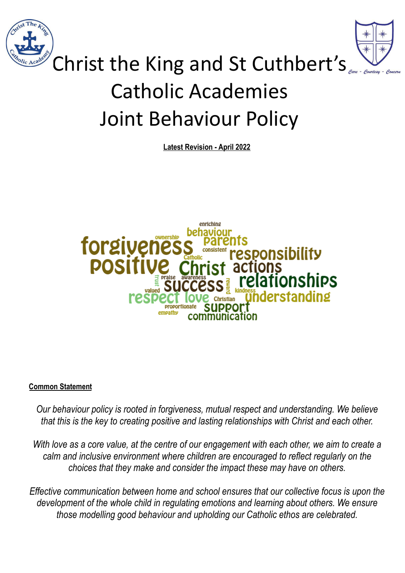



# Christ the King and St Cuthbert's Catholic Academies Joint Behaviour Policy

**Latest Revision - April 2022**



# **Common Statement**

*Our behaviour policy is rooted in forgiveness, mutual respect and understanding. We believe that this is the key to creating positive and lasting relationships with Christ and each other.*

*With love as a core value, at the centre of our engagement with each other, we aim to create a calm and inclusive environment where children are encouraged to reflect regularly on the choices that they make and consider the impact these may have on others.*

*Effective communication between home and school ensures that our collective focus is upon the development of the whole child in regulating emotions and learning about others. We ensure those modelling good behaviour and upholding our Catholic ethos are celebrated.*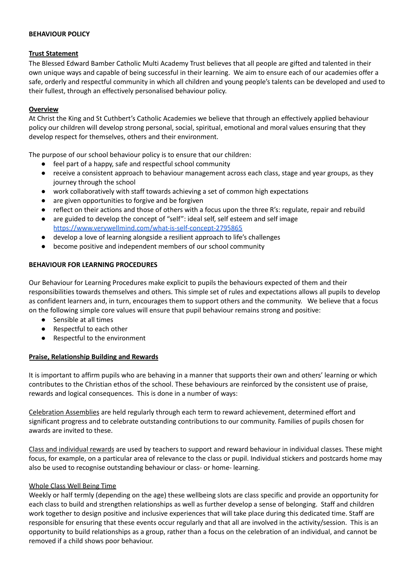#### **BEHAVIOUR POLICY**

#### **Trust Statement**

The Blessed Edward Bamber Catholic Multi Academy Trust believes that all people are gifted and talented in their own unique ways and capable of being successful in their learning. We aim to ensure each of our academies offer a safe, orderly and respectful community in which all children and young people's talents can be developed and used to their fullest, through an effectively personalised behaviour policy.

#### **Overview**

At Christ the King and St Cuthbert's Catholic Academies we believe that through an effectively applied behaviour policy our children will develop strong personal, social, spiritual, emotional and moral values ensuring that they develop respect for themselves, others and their environment.

The purpose of our school behaviour policy is to ensure that our children:

- feel part of a happy, safe and respectful school community
- receive a consistent approach to behaviour management across each class, stage and year groups, as they journey through the school
- work collaboratively with staff towards achieving a set of common high expectations
- are given opportunities to forgive and be forgiven
- reflect on their actions and those of others with a focus upon the three R's: regulate, repair and rebuild
- are guided to develop the concept of "self": ideal self, self esteem and self image <https://www.verywellmind.com/what-is-self-concept-2795865>
- develop a love of learning alongside a resilient approach to life's challenges
- become positive and independent members of our school community

#### **BEHAVIOUR FOR LEARNING PROCEDURES**

Our Behaviour for Learning Procedures make explicit to pupils the behaviours expected of them and their responsibilities towards themselves and others. This simple set of rules and expectations allows all pupils to develop as confident learners and, in turn, encourages them to support others and the community. We believe that a focus on the following simple core values will ensure that pupil behaviour remains strong and positive:

- Sensible at all times
- Respectful to each other
- Respectful to the environment

# **Praise, Relationship Building and Rewards**

It is important to affirm pupils who are behaving in a manner that supports their own and others' learning or which contributes to the Christian ethos of the school. These behaviours are reinforced by the consistent use of praise, rewards and logical consequences. This is done in a number of ways:

Celebration Assemblies are held regularly through each term to reward achievement, determined effort and significant progress and to celebrate outstanding contributions to our community. Families of pupils chosen for awards are invited to these.

Class and individual rewards are used by teachers to support and reward behaviour in individual classes. These might focus, for example, on a particular area of relevance to the class or pupil. Individual stickers and postcards home may also be used to recognise outstanding behaviour or class- or home- learning.

#### Whole Class Well Being Time

Weekly or half termly (depending on the age) these wellbeing slots are class specific and provide an opportunity for each class to build and strengthen relationships as well as further develop a sense of belonging. Staff and children work together to design positive and inclusive experiences that will take place during this dedicated time. Staff are responsible for ensuring that these events occur regularly and that all are involved in the activity/session. This is an opportunity to build relationships as a group, rather than a focus on the celebration of an individual, and cannot be removed if a child shows poor behaviour.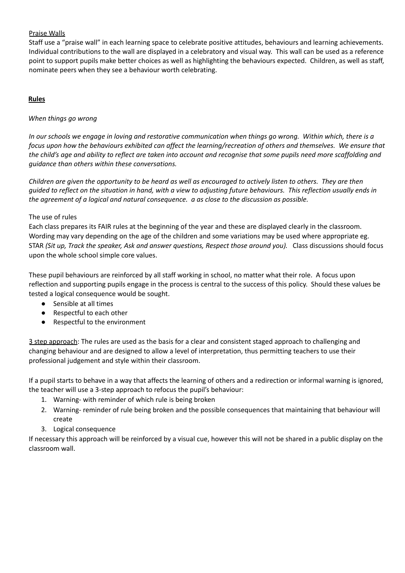# Praise Walls

Staff use a "praise wall" in each learning space to celebrate positive attitudes, behaviours and learning achievements. Individual contributions to the wall are displayed in a celebratory and visual way. This wall can be used as a reference point to support pupils make better choices as well as highlighting the behaviours expected. Children, as well as staff, nominate peers when they see a behaviour worth celebrating.

# **Rules**

# *When things go wrong*

In our schools we engage in loving and restorative communication when things go wrong. Within which, there is a focus upon how the behaviours exhibited can affect the learning/recreation of others and themselves. We ensure that the child's age and ability to reflect are taken into account and recognise that some pupils need more scaffolding and *guidance than others within these conversations.*

Children are given the opportunity to be heard as well as encouraged to actively listen to others. They are then quided to reflect on the situation in hand, with a view to adjusting future behaviours. This reflection usually ends in *the agreement of a logical and natural consequence. a as close to the discussion as possible.*

# The use of rules

Each class prepares its FAIR rules at the beginning of the year and these are displayed clearly in the classroom. Wording may vary depending on the age of the children and some variations may be used where appropriate eg. STAR *(Sit up, Track the speaker, Ask and answer questions, Respect those around you).* Class discussions should focus upon the whole school simple core values.

These pupil behaviours are reinforced by all staff working in school, no matter what their role. A focus upon reflection and supporting pupils engage in the process is central to the success of this policy. Should these values be tested a logical consequence would be sought.

- Sensible at all times
- Respectful to each other
- Respectful to the environment

3 step approach: The rules are used as the basis for a clear and consistent staged approach to challenging and changing behaviour and are designed to allow a level of interpretation, thus permitting teachers to use their professional judgement and style within their classroom.

If a pupil starts to behave in a way that affects the learning of others and a redirection or informal warning is ignored, the teacher will use a 3-step approach to refocus the pupil's behaviour:

- 1. Warning- with reminder of which rule is being broken
- 2. Warning- reminder of rule being broken and the possible consequences that maintaining that behaviour will create
- 3. Logical consequence

If necessary this approach will be reinforced by a visual cue, however this will not be shared in a public display on the classroom wall.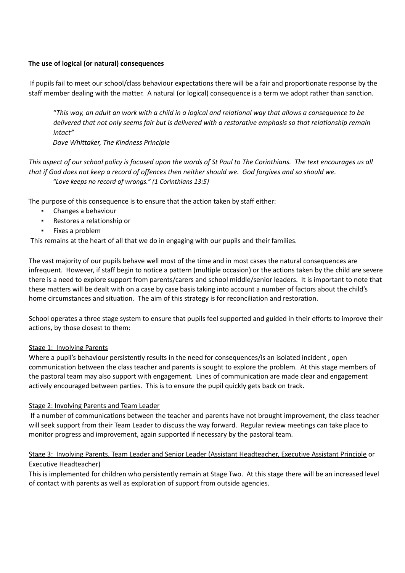## **The use of logical (or natural) consequences**

If pupils fail to meet our school/class behaviour expectations there will be a fair and proportionate response by the staff member dealing with the matter. A natural (or logical) consequence is a term we adopt rather than sanction.

"This way, an adult an work with a child in a logical and relational way that allows a consequence to be delivered that not only seems fair but is delivered with a restorative emphasis so that relationship remain *intact"*

*Dave Whittaker, The Kindness Principle*

This aspect of our school policy is focused upon the words of St Paul to The Corinthians. The text encourages us all that if God does not keep a record of offences then neither should we. God forgives and so should we. *"Love keeps no record of wrongs." (1 Corinthians 13:5)*

The purpose of this consequence is to ensure that the action taken by staff either:

- Changes a behaviour
- Restores a relationship or
- Fixes a problem

This remains at the heart of all that we do in engaging with our pupils and their families.

The vast majority of our pupils behave well most of the time and in most cases the natural consequences are infrequent. However, if staff begin to notice a pattern (multiple occasion) or the actions taken by the child are severe there is a need to explore support from parents/carers and school middle/senior leaders. It is important to note that these matters will be dealt with on a case by case basis taking into account a number of factors about the child's home circumstances and situation. The aim of this strategy is for reconciliation and restoration.

School operates a three stage system to ensure that pupils feel supported and guided in their efforts to improve their actions, by those closest to them:

#### Stage 1: Involving Parents

Where a pupil's behaviour persistently results in the need for consequences/is an isolated incident , open communication between the class teacher and parents is sought to explore the problem. At this stage members of the pastoral team may also support with engagement. Lines of communication are made clear and engagement actively encouraged between parties. This is to ensure the pupil quickly gets back on track.

#### Stage 2: Involving Parents and Team Leader

If a number of communications between the teacher and parents have not brought improvement, the class teacher will seek support from their Team Leader to discuss the way forward. Regular review meetings can take place to monitor progress and improvement, again supported if necessary by the pastoral team.

# Stage 3: Involving Parents, Team Leader and Senior Leader (Assistant Headteacher, Executive Assistant Principle or Executive Headteacher)

This is implemented for children who persistently remain at Stage Two. At this stage there will be an increased level of contact with parents as well as exploration of support from outside agencies.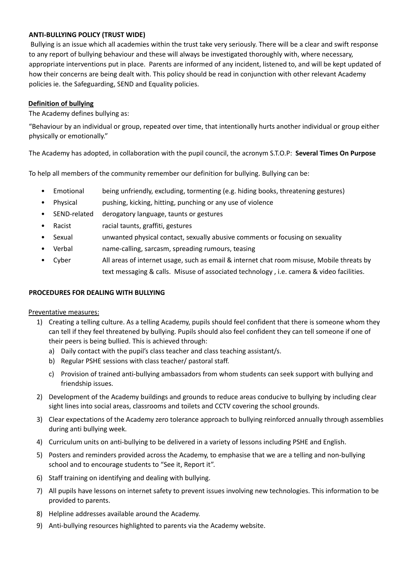# **ANTI-BULLYING POLICY (TRUST WIDE)**

Bullying is an issue which all academies within the trust take very seriously. There will be a clear and swift response to any report of bullying behaviour and these will always be investigated thoroughly with, where necessary, appropriate interventions put in place. Parents are informed of any incident, listened to, and will be kept updated of how their concerns are being dealt with. This policy should be read in conjunction with other relevant Academy policies ie. the Safeguarding, SEND and Equality policies.

#### **Definition of bullying**

The Academy defines bullying as:

"Behaviour by an individual or group, repeated over time, that intentionally hurts another individual or group either physically or emotionally."

The Academy has adopted, in collaboration with the pupil council, the acronym S.T.O.P: **Several Times On Purpose**

To help all members of the community remember our definition for bullying. Bullying can be:

- Emotional being unfriendly, excluding, tormenting (e.g. hiding books, threatening gestures)
- Physical pushing, kicking, hitting, punching or any use of violence
- SEND-related derogatory language, taunts or gestures
- Racist racial taunts, graffiti, gestures
- Sexual unwanted physical contact, sexually abusive comments or focusing on sexuality
- Verbal name-calling, sarcasm, spreading rumours, teasing
- Cyber All areas of internet usage, such as email & internet chat room misuse, Mobile threats by text messaging & calls. Misuse of associated technology , i.e. camera & video facilities.

#### **PROCEDURES FOR DEALING WITH BULLYING**

#### Preventative measures:

- 1) Creating a telling culture. As a telling Academy, pupils should feel confident that there is someone whom they can tell if they feel threatened by bullying. Pupils should also feel confident they can tell someone if one of their peers is being bullied. This is achieved through:
	- a) Daily contact with the pupil's class teacher and class teaching assistant/s.
	- b) Regular PSHE sessions with class teacher/ pastoral staff.
	- c) Provision of trained anti-bullying ambassadors from whom students can seek support with bullying and friendship issues.
- 2) Development of the Academy buildings and grounds to reduce areas conducive to bullying by including clear sight lines into social areas, classrooms and toilets and CCTV covering the school grounds.
- 3) Clear expectations of the Academy zero tolerance approach to bullying reinforced annually through assemblies during anti bullying week.
- 4) Curriculum units on anti-bullying to be delivered in a variety of lessons including PSHE and English.
- 5) Posters and reminders provided across the Academy, to emphasise that we are a telling and non-bullying school and to encourage students to "See it, Report it".
- 6) Staff training on identifying and dealing with bullying.
- 7) All pupils have lessons on internet safety to prevent issues involving new technologies. This information to be provided to parents.
- 8) Helpline addresses available around the Academy.
- 9) Anti-bullying resources highlighted to parents via the Academy website.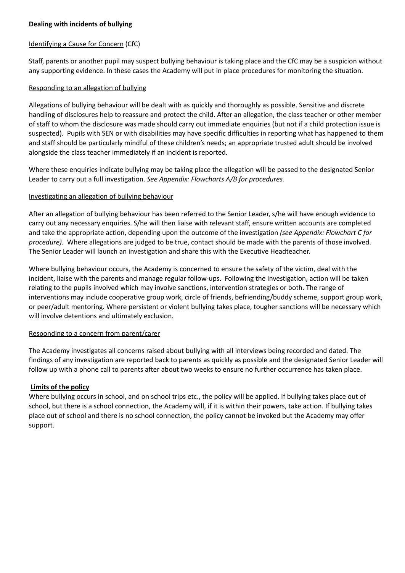## Identifying a Cause for Concern (CfC)

Staff, parents or another pupil may suspect bullying behaviour is taking place and the CfC may be a suspicion without any supporting evidence. In these cases the Academy will put in place procedures for monitoring the situation.

#### Responding to an allegation of bullying

Allegations of bullying behaviour will be dealt with as quickly and thoroughly as possible. Sensitive and discrete handling of disclosures help to reassure and protect the child. After an allegation, the class teacher or other member of staff to whom the disclosure was made should carry out immediate enquiries (but not if a child protection issue is suspected). Pupils with SEN or with disabilities may have specific difficulties in reporting what has happened to them and staff should be particularly mindful of these children's needs; an appropriate trusted adult should be involved alongside the class teacher immediately if an incident is reported.

Where these enquiries indicate bullying may be taking place the allegation will be passed to the designated Senior Leader to carry out a full investigation. *See Appendix: Flowcharts A/B for procedures.*

#### Investigating an allegation of bullying behaviour

After an allegation of bullying behaviour has been referred to the Senior Leader, s/he will have enough evidence to carry out any necessary enquiries. S/he will then liaise with relevant staff, ensure written accounts are completed and take the appropriate action, depending upon the outcome of the investigation *(see Appendix: Flowchart C for procedure).* Where allegations are judged to be true, contact should be made with the parents of those involved. The Senior Leader will launch an investigation and share this with the Executive Headteacher.

Where bullying behaviour occurs, the Academy is concerned to ensure the safety of the victim, deal with the incident, liaise with the parents and manage regular follow-ups. Following the investigation, action will be taken relating to the pupils involved which may involve sanctions, intervention strategies or both. The range of interventions may include cooperative group work, circle of friends, befriending/buddy scheme, support group work, or peer/adult mentoring. Where persistent or violent bullying takes place, tougher sanctions will be necessary which will involve detentions and ultimately exclusion.

# Responding to a concern from parent/carer

The Academy investigates all concerns raised about bullying with all interviews being recorded and dated. The findings of any investigation are reported back to parents as quickly as possible and the designated Senior Leader will follow up with a phone call to parents after about two weeks to ensure no further occurrence has taken place.

# **Limits of the policy**

Where bullying occurs in school, and on school trips etc., the policy will be applied. If bullying takes place out of school, but there is a school connection, the Academy will, if it is within their powers, take action. If bullying takes place out of school and there is no school connection, the policy cannot be invoked but the Academy may offer support.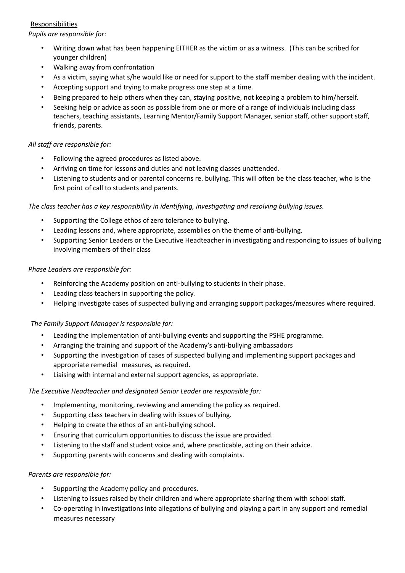# Responsibilities

*Pupils are responsible for*:

- Writing down what has been happening EITHER as the victim or as a witness. (This can be scribed for younger children)
- Walking away from confrontation
- As a victim, saying what s/he would like or need for support to the staff member dealing with the incident.
- Accepting support and trying to make progress one step at a time.
- Being prepared to help others when they can, staying positive, not keeping a problem to him/herself.
- Seeking help or advice as soon as possible from one or more of a range of individuals including class teachers, teaching assistants, Learning Mentor/Family Support Manager, senior staff, other support staff, friends, parents.

# *All staff are responsible for:*

- Following the agreed procedures as listed above.
- Arriving on time for lessons and duties and not leaving classes unattended.
- Listening to students and or parental concerns re. bullying. This will often be the class teacher, who is the first point of call to students and parents.

*The class teacher has a key responsibility in identifying, investigating and resolving bullying issues.*

- Supporting the College ethos of zero tolerance to bullying.
- Leading lessons and, where appropriate, assemblies on the theme of anti-bullying.
- Supporting Senior Leaders or the Executive Headteacher in investigating and responding to issues of bullying involving members of their class

# *Phase Leaders are responsible for:*

- Reinforcing the Academy position on anti-bullying to students in their phase.
- Leading class teachers in supporting the policy.
- Helping investigate cases of suspected bullying and arranging support packages/measures where required.

# *The Family Support Manager is responsible for:*

- Leading the implementation of anti-bullying events and supporting the PSHE programme.
- Arranging the training and support of the Academy's anti-bullying ambassadors
- Supporting the investigation of cases of suspected bullying and implementing support packages and appropriate remedial measures, as required.
- Liaising with internal and external support agencies, as appropriate.

# *The Executive Headteacher and designated Senior Leader are responsible for:*

- Implementing, monitoring, reviewing and amending the policy as required.
- Supporting class teachers in dealing with issues of bullying.
- Helping to create the ethos of an anti-bullying school.
- Ensuring that curriculum opportunities to discuss the issue are provided.
- Listening to the staff and student voice and, where practicable, acting on their advice.
- Supporting parents with concerns and dealing with complaints.

# *Parents are responsible for:*

- Supporting the Academy policy and procedures.
- Listening to issues raised by their children and where appropriate sharing them with school staff.
- Co-operating in investigations into allegations of bullying and playing a part in any support and remedial measures necessary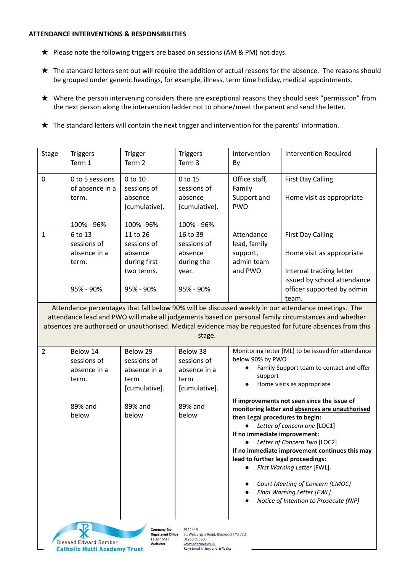#### **ATTENDANCE INTERVENTIONS & RESPONSIBILITIES**

- ★ Please note the following triggers are based on sessions (AM & PM) not days.
- ★ The standard letters sent out will require the addition of actual reasons for the absence. The reasons should be grouped under generic headings, for example, illness, term time holiday, medical appointments.
- ★ Where the person intervening considers there are exceptional reasons they should seek "permission" from the next person along the intervention ladder not to phone/meet the parent and send the letter.
- ★ The standard letters will contain the next trigger and intervention for the parents' information.

| Stage                                                                                                                                                                                                                                                                                                                            | <b>Triggers</b><br>Term 1                                                  | <b>Trigger</b><br>Term 2                                                      | <b>Triggers</b><br>Term 3                                                            | Intervention<br>By                                                                                    | <b>Intervention Required</b>                                                                                                                                                                                                                                                                                                                               |
|----------------------------------------------------------------------------------------------------------------------------------------------------------------------------------------------------------------------------------------------------------------------------------------------------------------------------------|----------------------------------------------------------------------------|-------------------------------------------------------------------------------|--------------------------------------------------------------------------------------|-------------------------------------------------------------------------------------------------------|------------------------------------------------------------------------------------------------------------------------------------------------------------------------------------------------------------------------------------------------------------------------------------------------------------------------------------------------------------|
| $\mathbf 0$                                                                                                                                                                                                                                                                                                                      | 0 to 5 sessions<br>of absence in a<br>term.                                | 0 to 10<br>sessions of<br>absence<br>[cumulative].<br>100% -96%               | 0 to 15<br>sessions of<br>absence<br>[cumulative].                                   | Office staff,<br>Family<br>Support and<br><b>PWO</b>                                                  | <b>First Day Calling</b><br>Home visit as appropriate                                                                                                                                                                                                                                                                                                      |
| $\mathbf{1}$                                                                                                                                                                                                                                                                                                                     | 100% - 96%<br>6 to 13<br>sessions of<br>absence in a<br>term.<br>95% - 90% | 11 to 26<br>sessions of<br>absence<br>during first<br>two terms.<br>95% - 90% | 100% - 96%<br>16 to 39<br>sessions of<br>absence<br>during the<br>year.<br>95% - 90% | Attendance<br>lead, family<br>support,<br>admin team<br>and PWO.                                      | <b>First Day Calling</b><br>Home visit as appropriate<br>Internal tracking letter<br>issued by school attendance<br>officer supported by admin<br>team.                                                                                                                                                                                                    |
| Attendance percentages that fall below 90% will be discussed weekly in our attendance meetings. The<br>attendance lead and PWO will make all judgements based on personal family circumstances and whether<br>absences are authorised or unauthorised. Medical evidence may be requested for future absences from this<br>stage. |                                                                            |                                                                               |                                                                                      |                                                                                                       |                                                                                                                                                                                                                                                                                                                                                            |
| $\overline{2}$                                                                                                                                                                                                                                                                                                                   | Below 14<br>sessions of<br>absence in a<br>term.                           | Below 29<br>sessions of<br>absence in a<br>term<br>[cumulative].              | Below 38<br>sessions of<br>absence in a<br>term<br>[cumulative].                     | below 90% by PWO<br>support                                                                           | Monitoring letter [ML] to be issued for attendance<br>Family Support team to contact and offer<br>Home visits as appropriate                                                                                                                                                                                                                               |
|                                                                                                                                                                                                                                                                                                                                  | 89% and<br>below                                                           | 89% and<br>below                                                              | 89% and<br>below                                                                     | then Legal procedures to begin:<br>If no immediate improvement:<br>lead to further legal proceedings: | If improvements not seen since the issue of<br>monitoring letter and absences are unauthorised<br>Letter of concern one [LOC1]<br>Letter of Concern Two [LOC2]<br>If no immediate improvement continues this may<br>First Warning Letter [FWL].<br>Court Meeting of Concern (CMOC)<br>Final Warning Letter [FWL]<br>Notice of Intention to Prosecute (NIP) |
| <b>Company No:</b><br>9111449<br>Registered Office: St. Walburga's Road, Blackpool FY3 7EQ<br>01253 396286<br>Telephone:<br><b>Blessed Edward Bamber</b><br>Website:<br>www.bebcmat.co.uk<br><b>Catholic Multi Academy Trust</b><br>Registered in England & Wales                                                                |                                                                            |                                                                               |                                                                                      |                                                                                                       |                                                                                                                                                                                                                                                                                                                                                            |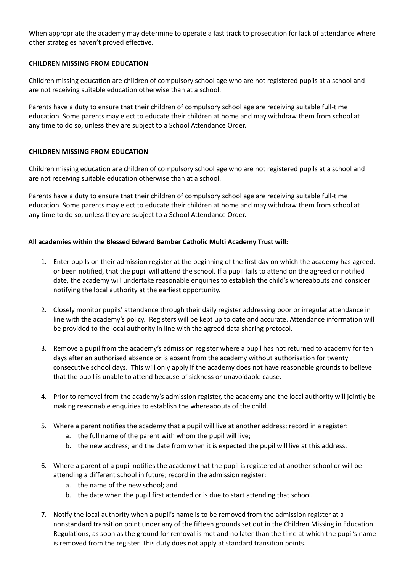When appropriate the academy may determine to operate a fast track to prosecution for lack of attendance where other strategies haven't proved effective.

#### **CHILDREN MISSING FROM EDUCATION**

Children missing education are children of compulsory school age who are not registered pupils at a school and are not receiving suitable education otherwise than at a school.

Parents have a duty [t](https://docs.google.com/document/d/1ZtSDSw_KBfL-Tk8WtPY66fbco8M2CjNz/edit#heading=h.1fob9te)o ensure that their children of compulsory school age are receiving suitable full-time education. Some parents may elect to educate their children at hom[e](https://docs.google.com/document/d/1ZtSDSw_KBfL-Tk8WtPY66fbco8M2CjNz/edit#heading=h.3znysh7) and may withdraw them from school at any time to do so, unless they are subject to a School Attendance Order.

#### **CHILDREN MISSING FROM EDUCATION**

Children missing education are children of compulsory school age who are not registered pupils at a school and are not receiving suitable education otherwise than at a school.

Parents have a duty to ensure that their children of compulsory school age are receiving suitable full-time education. Some parents may elect to educate their children at home and may withdraw them from school at any time to do so, unless they are subject to a School Attendance Order.

#### **All academies within the Blessed Edward Bamber Catholic Multi Academy Trust will:**

- 1. Enter pupils on their admission register at the beginning of the first day on which the academy has agreed, or been notified, that the pupil will attend the school. If a pupil fails to attend on the agreed or notified date, the academy will undertake reasonable enquiries to establish the child's whereabouts and consider notifying the local authority at the earliest opportunity.
- 2. Closely monitor pupils' attendance through their daily register addressing poor or irregular attendance in line with the academy's policy. Registers will be kept up to date and accurate. Attendance information will be provided to the local authority in line with the agreed data sharing protocol.
- 3. Remove a pupil from the academy's admission register where a pupil has not returned to academy for ten days after an authorised absence or is absent from the academy without authorisation for twenty consecutive school days. This will only apply if the academy does not have reasonable grounds to believe that the pupil is unable to attend because of sickness or unavoidable cause.
- 4. Prior to removal from the academy's admission register, the academy and the local authority will jointly be making reasonable enquiries to establish the whereabouts of the child.
- 5. Where a parent notifies the academy that a pupil will live at another address; record in a register:
	- a. the full name of the parent with whom the pupil will live;
	- b. the new address; and the date from when it is expected the pupil will live at this address.
- 6. Where a parent of a pupil notifies the academy that the pupil is registered at another school or will be attending a different school in future; record in the admission register:
	- a. the name of the new school; and
	- b. the date when the pupil first attended or is due to start attending that school.
- 7. Notify the local authority when a pupil's name is to be removed from the admission register at a nonstandard transition point under any of the fifteen grounds set out in the Children Missing in Education Regulations, as soon as the ground for removal is met and no later than the time at which the pupil's name is removed from the register. This duty does not apply at standard transition points.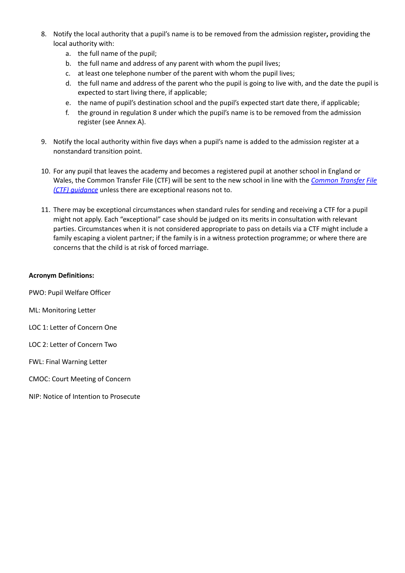- 8. Notify the local authority that a pupil's name is to be removed from the admission register**,** providing the local authority with:
	- a. the full name of the pupil;
	- b. the full name and address of any parent with whom the pupil lives;
	- c. at least one telephone number of the parent with whom the pupil lives;
	- d. the full name and address of the parent who the pupil is going to live with, and the date the pupil is expected to start living there, if applicable;
	- e. the name of pupil's destination school and the pupil's expected start date there, if applicable;
	- f. the ground in regulation 8 under which the pupil's name is to be removed from the admission register (see Annex A).
- 9. Notify the local authority within five days when a pupil's name is added to the admission register at a nonstandard transition point.
- 10. For any pupil that leaves the academy and becomes a registered pupil at another school in England or Wales, the Common Transfer File (CTF) will be sent to the new school in line with the *[Common](https://www.gov.uk/government/collections/common-transfer-file) Transfer File (CTF) [guidance](https://www.gov.uk/government/collections/common-transfer-file)* unless there are exceptional reasons not to.
- 11. There may be exceptional circumstances when standard rules for sending and receiving a CTF for a pupil might not apply. Each "exceptional" case should be judged on its merits in consultation with relevant parties. Circumstances when it is not considered appropriate to pass on details via a CTF might include a family escaping a violent partner; if the family is in a witness protection programme; or where there are concerns that the child is at risk of forced marriage.

#### **Acronym Definitions:**

PWO: Pupil Welfare Officer

- ML: Monitoring Letter
- LOC 1: Letter of Concern One
- LOC 2: Letter of Concern Two
- FWL: Final Warning Letter
- CMOC: Court Meeting of Concern
- NIP: Notice of Intention to Prosecute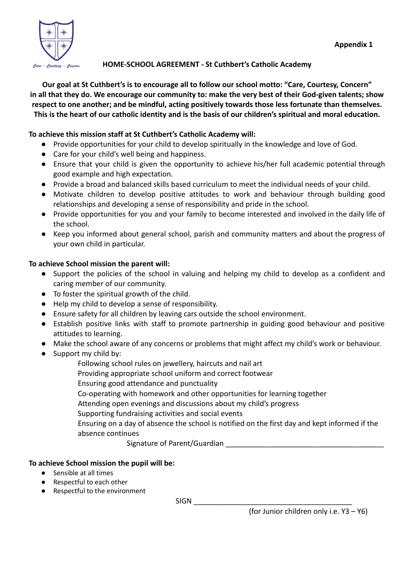

# **HOME-SCHOOL AGREEMENT - St Cuthbert's Catholic Academy**

**Our goal at St Cuthbert's is to encourage all to follow our school motto: "Care, Courtesy, Concern" in all that they do. We encourage our community to: make the very best of their God-given talents; show respect to one another; and be mindful, acting positively towards those less fortunate than themselves. This is the heart of our catholic identity and is the basis of our children's spiritual and moral education.**

# **To achieve this mission staff at St Cuthbert's Catholic Academy will:**

- Provide opportunities for your child to develop spiritually in the knowledge and love of God.
- Care for your child's well being and happiness.
- Ensure that your child is given the opportunity to achieve his/her full academic potential through good example and high expectation.
- Provide a broad and balanced skills based curriculum to meet the individual needs of your child.
- Motivate children to develop positive attitudes to work and behaviour through building good relationships and developing a sense of responsibility and pride in the school.
- Provide opportunities for you and your family to become interested and involved in the daily life of the school.
- Keep you informed about general school, parish and community matters and about the progress of your own child in particular.

# **To achieve School mission the parent will:**

- Support the policies of the school in valuing and helping my child to develop as a confident and caring member of our community.
- To foster the spiritual growth of the child.
- Help my child to develop a sense of responsibility.
- Ensure safety for all children by leaving cars outside the school environment.
- Establish positive links with staff to promote partnership in guiding good behaviour and positive attitudes to learning.
- Make the school aware of any concerns or problems that might affect my child's work or behaviour.
- Support my child by:
	- Following school rules on jewellery, haircuts and nail art
	- Providing appropriate school uniform and correct footwear
	- Ensuring good attendance and punctuality
	- Co-operating with homework and other opportunities for learning together
	- Attending open evenings and discussions about my child's progress
	- Supporting fundraising activities and social events
	- Ensuring on a day of absence the school is notified on the first day and kept informed if the absence continues

Signature of Parent/Guardian **Example 20** 

# **To achieve School mission the pupil will be:**

- Sensible at all times
- Respectful to each other
- Respectful to the environment

 $SIGN$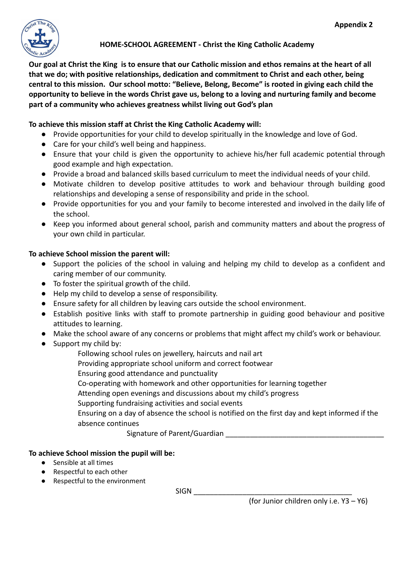

**Our goal at Christ the King is to ensure that our Catholic mission and ethos remains at the heart of all that we do; with positive relationships, dedication and commitment to Christ and each other, being central to this mission. Our school motto: "Believe, Belong, Become" is rooted in giving each child the opportunity to believe in the words Christ gave us, belong to a loving and nurturing family and become part of a community who achieves greatness whilst living out God's plan**

# **To achieve this mission staff at Christ the King Catholic Academy will:**

- Provide opportunities for your child to develop spiritually in the knowledge and love of God.
- Care for your child's well being and happiness.
- Ensure that your child is given the opportunity to achieve his/her full academic potential through good example and high expectation.
- Provide a broad and balanced skills based curriculum to meet the individual needs of your child.
- Motivate children to develop positive attitudes to work and behaviour through building good relationships and developing a sense of responsibility and pride in the school.
- Provide opportunities for you and your family to become interested and involved in the daily life of the school.
- Keep you informed about general school, parish and community matters and about the progress of your own child in particular.

# **To achieve School mission the parent will:**

- Support the policies of the school in valuing and helping my child to develop as a confident and caring member of our community.
- To foster the spiritual growth of the child.
- Help my child to develop a sense of responsibility.
- Ensure safety for all children by leaving cars outside the school environment.
- Establish positive links with staff to promote partnership in guiding good behaviour and positive attitudes to learning.
- Make the school aware of any concerns or problems that might affect my child's work or behaviour.
- Support my child by:
	- Following school rules on jewellery, haircuts and nail art
	- Providing appropriate school uniform and correct footwear
	- Ensuring good attendance and punctuality
	- Co-operating with homework and other opportunities for learning together
	- Attending open evenings and discussions about my child's progress
	- Supporting fundraising activities and social events

Ensuring on a day of absence the school is notified on the first day and kept informed if the absence continues

Signature of Parent/Guardian

# **To achieve School mission the pupil will be:**

- Sensible at all times
- Respectful to each other
- Respectful to the environment

SIGN \_\_\_\_\_\_\_\_\_\_\_\_\_\_\_\_\_\_\_\_\_\_\_\_\_\_\_\_\_\_\_\_\_\_\_\_\_\_\_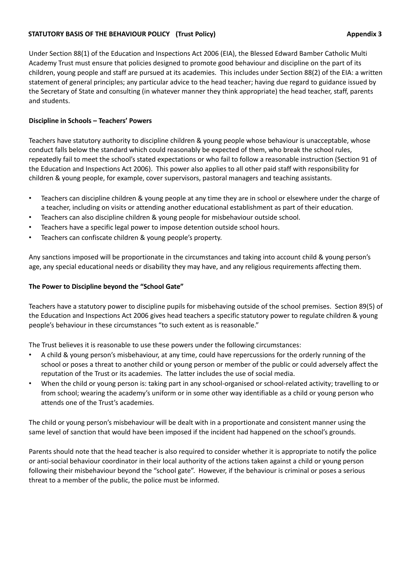# **STATUTORY BASIS OF THE BEHAVIOUR POLICY (Trust Policy) Appendix 3**

Under Section 88(1) of the Education and Inspections Act 2006 (EIA), the Blessed Edward Bamber Catholic Multi Academy Trust must ensure that policies designed to promote good behaviour and discipline on the part of its children, young people and staff are pursued at its academies. This includes under Section 88(2) of the EIA: a written statement of general principles; any particular advice to the head teacher; having due regard to guidance issued by the Secretary of State and consulting (in whatever manner they think appropriate) the head teacher, staff, parents and students.

# **Discipline in Schools – Teachers' Powers**

Teachers have statutory authority to discipline children & young people whose behaviour is unacceptable, whose conduct falls below the standard which could reasonably be expected of them, who break the school rules, repeatedly fail to meet the school's stated expectations or who fail to follow a reasonable instruction (Section 91 of the Education and Inspections Act 2006). This power also applies to all other paid staff with responsibility for children & young people, for example, cover supervisors, pastoral managers and teaching assistants.

- Teachers can discipline children & young people at any time they are in school or elsewhere under the charge of a teacher, including on visits or attending another educational establishment as part of their education.
- Teachers can also discipline children & young people for misbehaviour outside school.
- Teachers have a specific legal power to impose detention outside school hours.
- Teachers can confiscate children & young people's property.

Any sanctions imposed will be proportionate in the circumstances and taking into account child & young person's age, any special educational needs or disability they may have, and any religious requirements affecting them.

# **The Power to Discipline beyond the "School Gate"**

Teachers have a statutory power to discipline pupils for misbehaving outside of the school premises. Section 89(5) of the Education and Inspections Act 2006 gives head teachers a specific statutory power to regulate children & young people's behaviour in these circumstances "to such extent as is reasonable."

The Trust believes it is reasonable to use these powers under the following circumstances:

- A child & young person's misbehaviour, at any time, could have repercussions for the orderly running of the school or poses a threat to another child or young person or member of the public or could adversely affect the reputation of the Trust or its academies. The latter includes the use of social media.
- When the child or young person is: taking part in any school-organised or school-related activity; travelling to or from school; wearing the academy's uniform or in some other way identifiable as a child or young person who attends one of the Trust's academies.

The child or young person's misbehaviour will be dealt with in a proportionate and consistent manner using the same level of sanction that would have been imposed if the incident had happened on the school's grounds.

Parents should note that the head teacher is also required to consider whether it is appropriate to notify the police or anti-social behaviour coordinator in their local authority of the actions taken against a child or young person following their misbehaviour beyond the "school gate". However, if the behaviour is criminal or poses a serious threat to a member of the public, the police must be informed.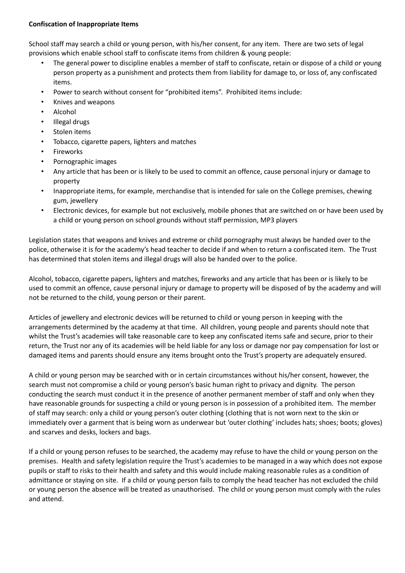# **Confiscation of Inappropriate Items**

School staff may search a child or young person, with his/her consent, for any item. There are two sets of legal provisions which enable school staff to confiscate items from children & young people:

- The general power to discipline enables a member of staff to confiscate, retain or dispose of a child or young person property as a punishment and protects them from liability for damage to, or loss of, any confiscated items.
- Power to search without consent for "prohibited items". Prohibited items include:
- Knives and weapons
- Alcohol
- Illegal drugs
- Stolen items
- Tobacco, cigarette papers, lighters and matches
- **Fireworks**
- Pornographic images
- Any article that has been or is likely to be used to commit an offence, cause personal injury or damage to property
- Inappropriate items, for example, merchandise that is intended for sale on the College premises, chewing gum, jewellery
- Electronic devices, for example but not exclusively, mobile phones that are switched on or have been used by a child or young person on school grounds without staff permission, MP3 players

Legislation states that weapons and knives and extreme or child pornography must always be handed over to the police, otherwise it is for the academy's head teacher to decide if and when to return a confiscated item. The Trust has determined that stolen items and illegal drugs will also be handed over to the police.

Alcohol, tobacco, cigarette papers, lighters and matches, fireworks and any article that has been or is likely to be used to commit an offence, cause personal injury or damage to property will be disposed of by the academy and will not be returned to the child, young person or their parent.

Articles of jewellery and electronic devices will be returned to child or young person in keeping with the arrangements determined by the academy at that time. All children, young people and parents should note that whilst the Trust's academies will take reasonable care to keep any confiscated items safe and secure, prior to their return, the Trust nor any of its academies will be held liable for any loss or damage nor pay compensation for lost or damaged items and parents should ensure any items brought onto the Trust's property are adequately ensured.

A child or young person may be searched with or in certain circumstances without his/her consent, however, the search must not compromise a child or young person's basic human right to privacy and dignity. The person conducting the search must conduct it in the presence of another permanent member of staff and only when they have reasonable grounds for suspecting a child or young person is in possession of a prohibited item. The member of staff may search: only a child or young person's outer clothing (clothing that is not worn next to the skin or immediately over a garment that is being worn as underwear but 'outer clothing' includes hats; shoes; boots; gloves) and scarves and desks, lockers and bags.

If a child or young person refuses to be searched, the academy may refuse to have the child or young person on the premises. Health and safety legislation require the Trust's academies to be managed in a way which does not expose pupils or staff to risks to their health and safety and this would include making reasonable rules as a condition of admittance or staying on site. If a child or young person fails to comply the head teacher has not excluded the child or young person the absence will be treated as unauthorised. The child or young person must comply with the rules and attend.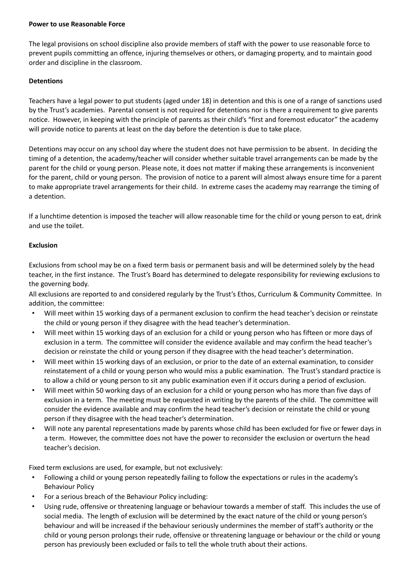#### **Power to use Reasonable Force**

The legal provisions on school discipline also provide members of staff with the power to use reasonable force to prevent pupils committing an offence, injuring themselves or others, or damaging property, and to maintain good order and discipline in the classroom.

# **Detentions**

Teachers have a legal power to put students (aged under 18) in detention and this is one of a range of sanctions used by the Trust's academies. Parental consent is not required for detentions nor is there a requirement to give parents notice. However, in keeping with the principle of parents as their child's "first and foremost educator" the academy will provide notice to parents at least on the day before the detention is due to take place.

Detentions may occur on any school day where the student does not have permission to be absent. In deciding the timing of a detention, the academy/teacher will consider whether suitable travel arrangements can be made by the parent for the child or young person. Please note, it does not matter if making these arrangements is inconvenient for the parent, child or young person. The provision of notice to a parent will almost always ensure time for a parent to make appropriate travel arrangements for their child. In extreme cases the academy may rearrange the timing of a detention.

If a lunchtime detention is imposed the teacher will allow reasonable time for the child or young person to eat, drink and use the toilet.

# **Exclusion**

Exclusions from school may be on a fixed term basis or permanent basis and will be determined solely by the head teacher, in the first instance. The Trust's Board has determined to delegate responsibility for reviewing exclusions to the governing body.

All exclusions are reported to and considered regularly by the Trust's Ethos, Curriculum & Community Committee. In addition, the committee:

- Will meet within 15 working days of a permanent exclusion to confirm the head teacher's decision or reinstate the child or young person if they disagree with the head teacher's determination.
- Will meet within 15 working days of an exclusion for a child or young person who has fifteen or more days of exclusion in a term. The committee will consider the evidence available and may confirm the head teacher's decision or reinstate the child or young person if they disagree with the head teacher's determination.
- Will meet within 15 working days of an exclusion, or prior to the date of an external examination, to consider reinstatement of a child or young person who would miss a public examination. The Trust's standard practice is to allow a child or young person to sit any public examination even if it occurs during a period of exclusion.
- Will meet within 50 working days of an exclusion for a child or young person who has more than five days of exclusion in a term. The meeting must be requested in writing by the parents of the child. The committee will consider the evidence available and may confirm the head teacher's decision or reinstate the child or young person if they disagree with the head teacher's determination.
- Will note any parental representations made by parents whose child has been excluded for five or fewer days in a term. However, the committee does not have the power to reconsider the exclusion or overturn the head teacher's decision.

Fixed term exclusions are used, for example, but not exclusively:

- Following a child or young person repeatedly failing to follow the expectations or rules in the academy's Behaviour Policy
- For a serious breach of the Behaviour Policy including:
- Using rude, offensive or threatening language or behaviour towards a member of staff. This includes the use of social media. The length of exclusion will be determined by the exact nature of the child or young person's behaviour and will be increased if the behaviour seriously undermines the member of staff's authority or the child or young person prolongs their rude, offensive or threatening language or behaviour or the child or young person has previously been excluded or fails to tell the whole truth about their actions.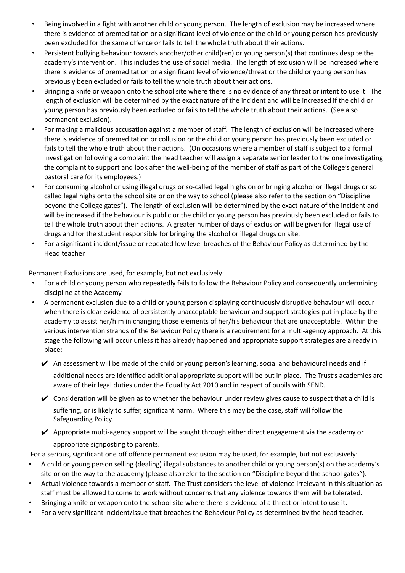- Being involved in a fight with another child or young person. The length of exclusion may be increased where there is evidence of premeditation or a significant level of violence or the child or young person has previously been excluded for the same offence or fails to tell the whole truth about their actions.
- Persistent bullying behaviour towards another/other child(ren) or young person(s) that continues despite the academy's intervention. This includes the use of social media. The length of exclusion will be increased where there is evidence of premeditation or a significant level of violence/threat or the child or young person has previously been excluded or fails to tell the whole truth about their actions.
- Bringing a knife or weapon onto the school site where there is no evidence of any threat or intent to use it. The length of exclusion will be determined by the exact nature of the incident and will be increased if the child or young person has previously been excluded or fails to tell the whole truth about their actions. (See also permanent exclusion).
- For making a malicious accusation against a member of staff. The length of exclusion will be increased where there is evidence of premeditation or collusion or the child or young person has previously been excluded or fails to tell the whole truth about their actions. (On occasions where a member of staff is subject to a formal investigation following a complaint the head teacher will assign a separate senior leader to the one investigating the complaint to support and look after the well-being of the member of staff as part of the College's general pastoral care for its employees.)
- For consuming alcohol or using illegal drugs or so-called legal highs on or bringing alcohol or illegal drugs or so called legal highs onto the school site or on the way to school (please also refer to the section on "Discipline beyond the College gates"). The length of exclusion will be determined by the exact nature of the incident and will be increased if the behaviour is public or the child or young person has previously been excluded or fails to tell the whole truth about their actions. A greater number of days of exclusion will be given for illegal use of drugs and for the student responsible for bringing the alcohol or illegal drugs on site.
- For a significant incident/issue or repeated low level breaches of the Behaviour Policy as determined by the Head teacher.

Permanent Exclusions are used, for example, but not exclusively:

- For a child or young person who repeatedly fails to follow the Behaviour Policy and consequently undermining discipline at the Academy.
- A permanent exclusion due to a child or young person displaying continuously disruptive behaviour will occur when there is clear evidence of persistently unacceptable behaviour and support strategies put in place by the academy to assist her/him in changing those elements of her/his behaviour that are unacceptable. Within the various intervention strands of the Behaviour Policy there is a requirement for a multi-agency approach. At this stage the following will occur unless it has already happened and appropriate support strategies are already in place:
	- $\blacktriangleright$  An assessment will be made of the child or young person's learning, social and behavioural needs and if additional needs are identified additional appropriate support will be put in place. The Trust's academies are aware of their legal duties under the Equality Act 2010 and in respect of pupils with SEND.
	- ✔ Consideration will be given as to whether the behaviour under review gives cause to suspect that a child is suffering, or is likely to suffer, significant harm. Where this may be the case, staff will follow the Safeguarding Policy.
	- ✔ Appropriate multi-agency support will be sought through either direct engagement via the academy or appropriate signposting to parents.

For a serious, significant one off offence permanent exclusion may be used, for example, but not exclusively:

- A child or young person selling (dealing) illegal substances to another child or young person(s) on the academy's site or on the way to the academy (please also refer to the section on "Discipline beyond the school gates").
- Actual violence towards a member of staff. The Trust considers the level of violence irrelevant in this situation as staff must be allowed to come to work without concerns that any violence towards them will be tolerated.
- Bringing a knife or weapon onto the school site where there is evidence of a threat or intent to use it.
- For a very significant incident/issue that breaches the Behaviour Policy as determined by the head teacher.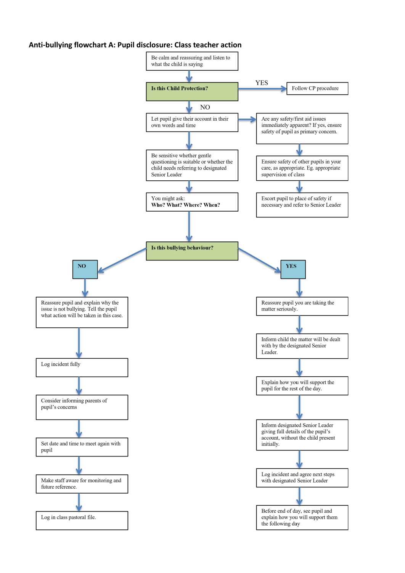#### **Anti-bullying flowchart A: Pupil disclosure: Class teacher action**

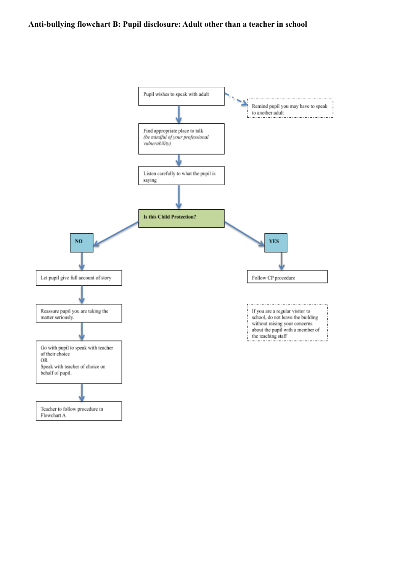